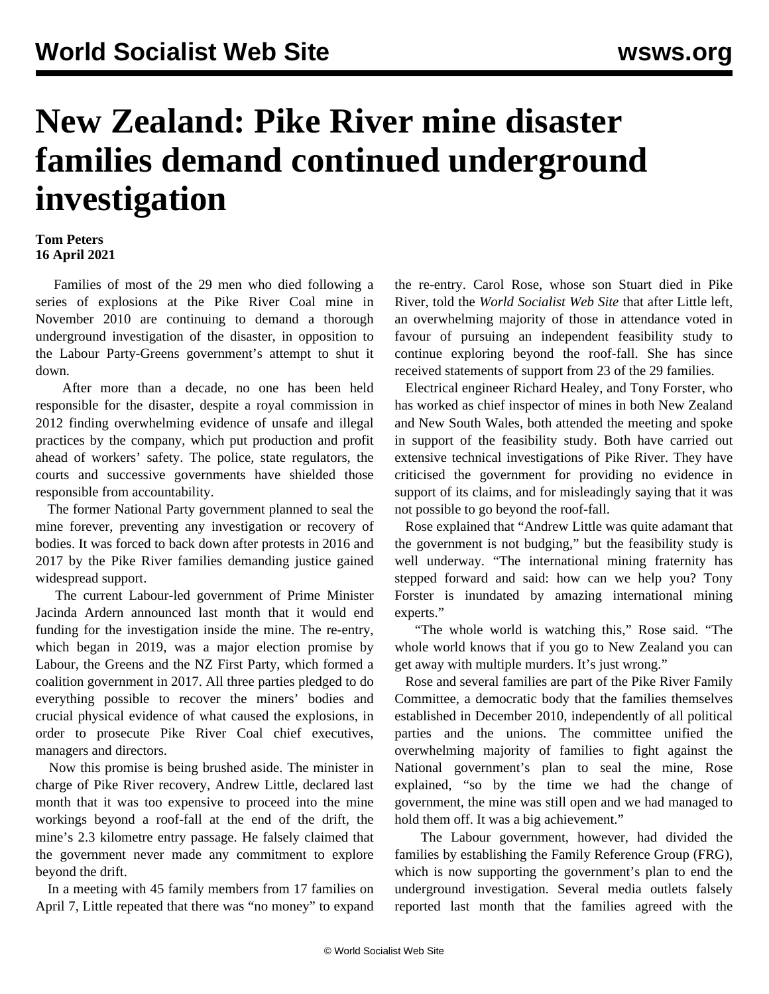## **New Zealand: Pike River mine disaster families demand continued underground investigation**

## **Tom Peters 16 April 2021**

 Families of most of the 29 men who died following a series of explosions at the Pike River Coal mine in November 2010 are continuing to demand a thorough underground investigation of the disaster, in opposition to the Labour Party-Greens government's attempt to shut it down.

 After more than a decade, no one has been held responsible for the disaster, despite a royal commission in 2012 finding overwhelming evidence of unsafe and illegal practices by the company, which put production and profit ahead of workers' safety. The police, state regulators, the courts and successive governments have shielded those responsible from accountability.

 The former National Party government planned to seal the mine forever, preventing any investigation or recovery of bodies. It was forced to back down after protests in 2016 and 2017 by the Pike River families demanding justice gained widespread support.

 The current Labour-led government of Prime Minister Jacinda Ardern [announced](/en/articles/2021/04/02/pike-a02.html) last month that it would end funding for the investigation inside the mine. The re-entry, which began in 2019, was a major election promise by Labour, the Greens and the NZ First Party, which formed a coalition government in 2017. All three parties pledged to do everything possible to recover the miners' bodies and crucial physical evidence of what caused the explosions, in order to prosecute Pike River Coal chief executives, managers and directors.

 Now this promise is being brushed aside. The minister in charge of Pike River recovery, Andrew Little, declared last month that it was too expensive to proceed into the mine workings beyond a roof-fall at the end of the drift, the mine's 2.3 kilometre entry passage. He falsely claimed that the government never made any commitment to explore beyond the drift.

 In a meeting with 45 family members from 17 families on April 7, Little repeated that there was "no money" to expand the re-entry. Carol Rose, whose son Stuart died in Pike River, told the *World Socialist Web Site* that after Little left, an overwhelming majority of those in attendance voted in favour of pursuing an independent feasibility study to continue exploring beyond the roof-fall. She has since received statements of support from 23 of the 29 families.

 Electrical engineer Richard Healey, and Tony Forster, who has worked as chief inspector of mines in both New Zealand and New South Wales, both attended the meeting and spoke in support of the feasibility study. Both have carried out extensive technical investigations of Pike River. They have criticised the government for providing no evidence in support of its claims, and for misleadingly saying that it was not possible to go beyond the roof-fall.

 Rose explained that "Andrew Little was quite adamant that the government is not budging," but the feasibility study is well underway. "The international mining fraternity has stepped forward and said: how can we help you? Tony Forster is inundated by amazing international mining experts."

 "The whole world is watching this," Rose said. "The whole world knows that if you go to New Zealand you can get away with multiple murders. It's just wrong."

 Rose and several families are part of the Pike River Family Committee, a democratic body that the families themselves established in December 2010, independently of all political parties and the unions. The committee unified the overwhelming majority of families to fight against the National government's plan to seal the mine, Rose explained, "so by the time we had the change of government, the mine was still open and we had managed to hold them off. It was a big achievement."

 The Labour government, however, had divided the families by establishing the Family Reference Group (FRG), which is now supporting the government's plan to end the underground investigation. Several media outlets falsely reported last month that the families agreed with the